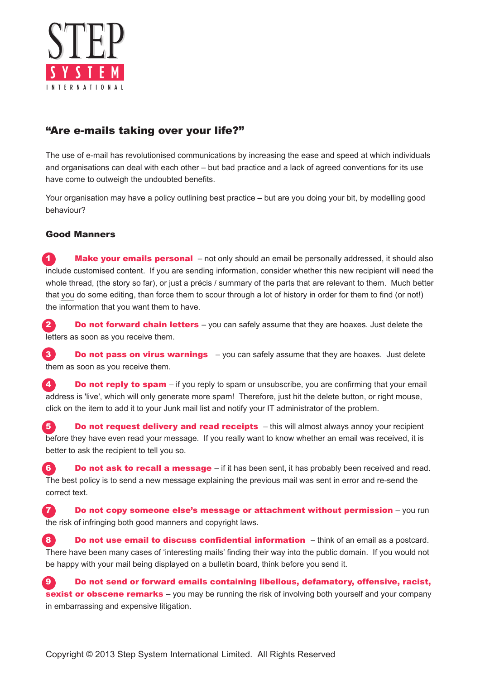

## "Are e-mails taking over your life?"

The use of e-mail has revolutionised communications by increasing the ease and speed at which individuals and organisations can deal with each other – but bad practice and a lack of agreed conventions for its use have come to outweigh the undoubted benefits.

Your organisation may have a policy outlining best practice – but are you doing your bit, by modelling good behaviour?

## Good Manners

1 **Make your emails personal** – not only should an email be personally addressed, it should also include customised content. If you are sending information, consider whether this new recipient will need the whole thread, (the story so far), or just a précis / summary of the parts that are relevant to them. Much better that you do some editing, than force them to scour through a lot of history in order for them to find (or not!) the information that you want them to have.

**2** Do not forward chain letters – you can safely assume that they are hoaxes. Just delete the letters as soon as you receive them.

3 Do not pass on virus warnings – you can safely assume that they are hoaxes. Just delete them as soon as you receive them.

 $\overline{4}$  Do not reply to spam – if you reply to spam or unsubscribe, you are confirming that your email address is 'live', which will only generate more spam! Therefore, just hit the delete button, or right mouse, click on the item to add it to your Junk mail list and notify your IT administrator of the problem.

**5** Do not request delivery and read receipts – this will almost always annoy your recipient before they have even read your message. If you really want to know whether an email was received, it is better to ask the recipient to tell you so.

6 **Do not ask to recall a message**  $-$  if it has been sent, it has probably been received and read. The best policy is to send a new message explaining the previous mail was sent in error and re-send the correct text.

**7 Do not copy someone else's message or attachment without permission** – you run the risk of infringing both good manners and copyright laws.

8 Do not use email to discuss confidential information – think of an email as a postcard. There have been many cases of 'interesting mails' finding their way into the public domain. If you would not be happy with your mail being displayed on a bulletin board, think before you send it.

9 Do not send or forward emails containing libellous, defamatory, offensive, racist, sexist or obscene remarks – you may be running the risk of involving both yourself and your company in embarrassing and expensive litigation.